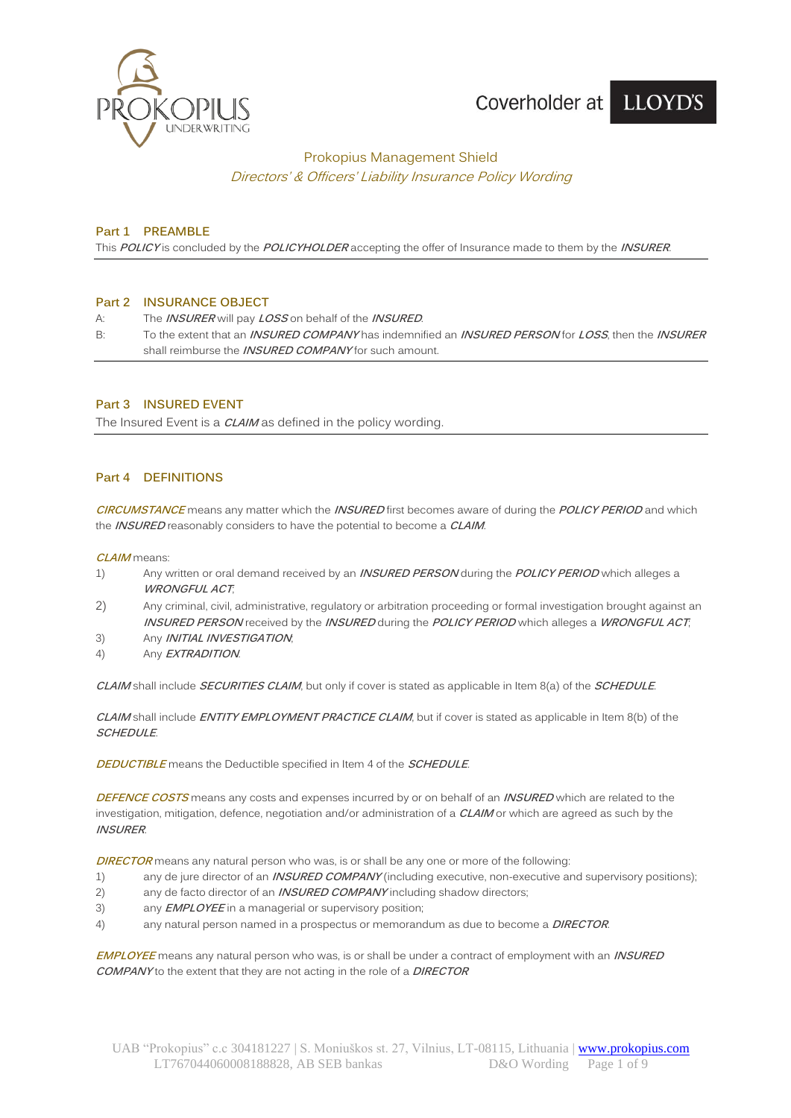

# Coverholder at LLOYD'S

## Prokopius Management Shield Directors' & Officers' Liability Insurance Policy Wording

### **Part 1 PREAMBLE**

This **POLICY** is concluded by the **POLICYHOLDER** accepting the offer of Insurance made to them by the **INSURER**.

### **Part 2 INSURANCE OBJECT**

- A: The **INSURER** will pay **LOSS** on behalf of the **INSURED**.
- B: To the extent that an **INSURED COMPANY** has indemnified an **INSURED PERSON** for **LOSS**, then the **INSURER** shall reimburse the **INSURED COMPANY** for such amount.

## **Part 3 INSURED EVENT**

The Insured Event is a **CLAIM** as defined in the policy wording.

### **Part 4 DEFINITIONS**

**CIRCUMSTANCE** means any matter which the **INSURED** first becomes aware of during the **POLICY PERIOD** and which the **INSURED** reasonably considers to have the potential to become a **CLAIM**.

**CLAIM** means:

- 1) Any written or oral demand received by an **INSURED PERSON** during the **POLICY PERIOD** which alleges a **WRONGFUL ACT**;
- 2) Any criminal, civil, administrative, regulatory or arbitration proceeding or formal investigation brought against an **INSURED PERSON** received by the **INSURED** during the **POLICY PERIOD** which alleges a **WRONGFUL ACT**;
- 3) Any **INITIAL INVESTIGATION**;
- 4) Any **EXTRADITION**.

**CLAIM** shall include **SECURITIES CLAIM**, but only if cover is stated as applicable in Item 8(a) of the **SCHEDULE**.

**CLAIM** shall include **ENTITY EMPLOYMENT PRACTICE CLAIM**, but if cover is stated as applicable in Item 8(b) of the **SCHEDULE**.

**DEDUCTIBLE** means the Deductible specified in Item 4 of the **SCHEDULE**.

**DEFENCE COSTS** means any costs and expenses incurred by or on behalf of an **INSURED** which are related to the investigation, mitigation, defence, negotiation and/or administration of a **CLAIM** or which are agreed as such by the **INSURER**.

**DIRECTOR** means any natural person who was, is or shall be any one or more of the following:

- 1) any de jure director of an **INSURED COMPANY** (including executive, non-executive and supervisory positions);
- 2) any de facto director of an **INSURED COMPANY** including shadow directors;
- 3) any **EMPLOYEE** in a managerial or supervisory position;
- 4) any natural person named in a prospectus or memorandum as due to become a **DIRECTOR**.

**EMPLOYEE** means any natural person who was, is or shall be under a contract of employment with an **INSURED COMPANY** to the extent that they are not acting in the role of a **DIRECTOR**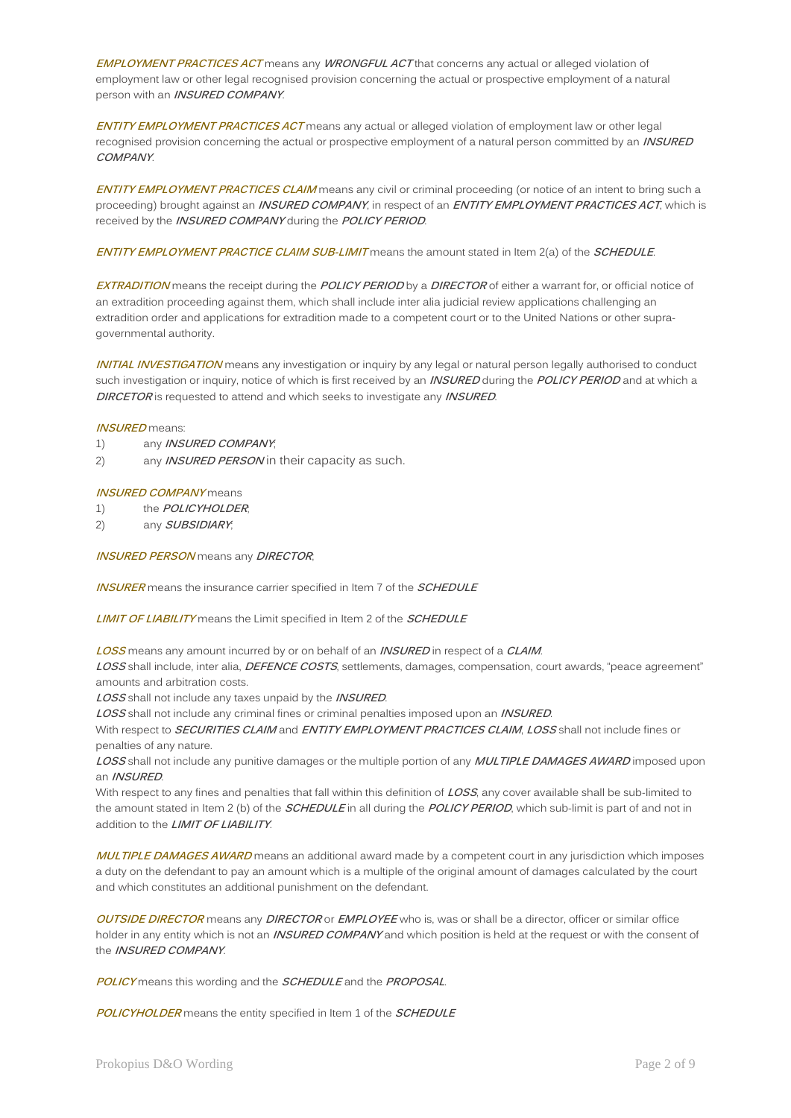**EMPLOYMENT PRACTICES ACT** means any **WRONGFUL ACT** that concerns any actual or alleged violation of employment law or other legal recognised provision concerning the actual or prospective employment of a natural person with an **INSURED COMPANY**.

**ENTITY EMPLOYMENT PRACTICES ACT** means any actual or alleged violation of employment law or other legal recognised provision concerning the actual or prospective employment of a natural person committed by an **INSURED COMPANY**.

**ENTITY EMPLOYMENT PRACTICES CLAIM** means any civil or criminal proceeding (or notice of an intent to bring such a proceeding) brought against an **INSURED COMPANY**, in respect of an **ENTITY EMPLOYMENT PRACTICES ACT**, which is received by the **INSURED COMPANY** during the **POLICY PERIOD**.

**ENTITY EMPLOYMENT PRACTICE CLAIM SUB-LIMIT** means the amount stated in Item 2(a) of the **SCHEDULE**.

**EXTRADITION** means the receipt during the **POLICY PERIOD** by a **DIRECTOR** of either a warrant for, or official notice of an extradition proceeding against them, which shall include inter alia judicial review applications challenging an extradition order and applications for extradition made to a competent court or to the United Nations or other supragovernmental authority.

**INITIAL INVESTIGATION** means any investigation or inquiry by any legal or natural person legally authorised to conduct such investigation or inquiry, notice of which is first received by an **INSURED** during the **POLICY PERIOD** and at which a **DIRCETOR** is requested to attend and which seeks to investigate any **INSURED**.

#### **INSURED** means:

- 1) any **INSURED COMPANY**;
- 2) any **INSURED PERSON** in their capacity as such.

#### **INSURED COMPANY** means

1) the **POLICYHOLDER**;

2) any **SUBSIDIARY**;

**INSURED PERSON** means any **DIRECTOR**;

**INSURER** means the insurance carrier specified in Item 7 of the **SCHEDULE**

**LIMIT OF LIABILITY** means the Limit specified in Item 2 of the **SCHEDULE**

**LOSS** means any amount incurred by or on behalf of an **INSURED** in respect of a **CLAIM**.

**LOSS** shall include, inter alia, **DEFENCE COSTS**, settlements, damages, compensation, court awards, "peace agreement" amounts and arbitration costs.

**LOSS** shall not include any taxes unpaid by the **INSURED**.

**LOSS** shall not include any criminal fines or criminal penalties imposed upon an **INSURED**.

With respect to **SECURITIES CLAIM** and **ENTITY EMPLOYMENT PRACTICES CLAIM**, **LOSS** shall not include fines or penalties of any nature.

**LOSS** shall not include any punitive damages or the multiple portion of any **MULTIPLE DAMAGES AWARD** imposed upon an **INSURED**.

With respect to any fines and penalties that fall within this definition of **LOSS**, any cover available shall be sub-limited to the amount stated in Item 2 (b) of the **SCHEDULE** in all during the **POLICY PERIOD**, which sub-limit is part of and not in addition to the **LIMIT OF LIABILITY**.

**MULTIPLE DAMAGES AWARD** means an additional award made by a competent court in any jurisdiction which imposes a duty on the defendant to pay an amount which is a multiple of the original amount of damages calculated by the court and which constitutes an additional punishment on the defendant.

**OUTSIDE DIRECTOR** means any **DIRECTOR** or **EMPLOYEE** who is, was or shall be a director, officer or similar office holder in any entity which is not an **INSURED COMPANY** and which position is held at the request or with the consent of the **INSURED COMPANY**.

**POLICY** means this wording and the **SCHEDULE** and the **PROPOSAL**.

**POLICYHOLDER** means the entity specified in Item 1 of the **SCHEDULE**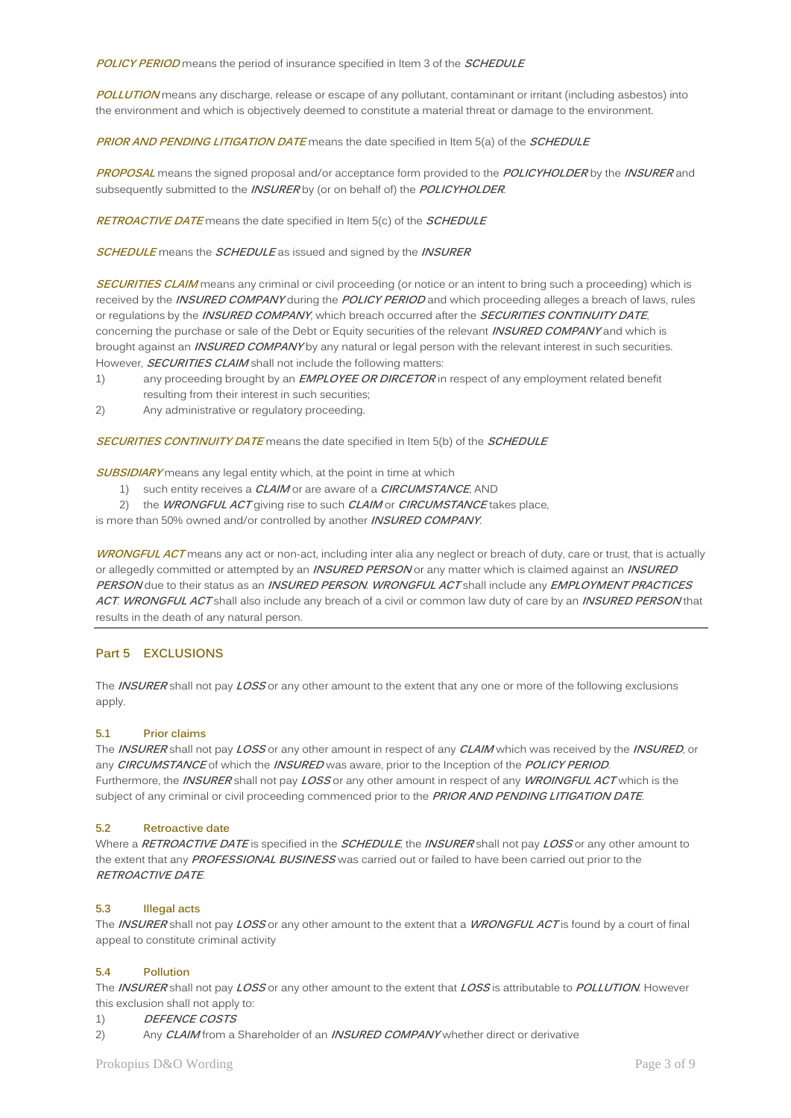**POLICY PERIOD** means the period of insurance specified in Item 3 of the **SCHEDULE**

**POLLUTION** means any discharge, release or escape of any pollutant, contaminant or irritant (including asbestos) into the environment and which is objectively deemed to constitute a material threat or damage to the environment.

**PRIOR AND PENDING LITIGATION DATE** means the date specified in Item 5(a) of the **SCHEDULE**

**PROPOSAL** means the signed proposal and/or acceptance form provided to the **POLICYHOLDER** by the **INSURER** and subsequently submitted to the **INSURER** by (or on behalf of) the **POLICYHOLDER**.

**RETROACTIVE DATE** means the date specified in Item 5(c) of the **SCHEDULE**

**SCHEDULE** means the **SCHEDULE** as issued and signed by the **INSURER**

**SECURITIES CLAIM** means any criminal or civil proceeding (or notice or an intent to bring such a proceeding) which is received by the **INSURED COMPANY** during the **POLICY PERIOD** and which proceeding alleges a breach of laws, rules or regulations by the **INSURED COMPANY**, which breach occurred after the **SECURITIES CONTINUITY DATE**, concerning the purchase or sale of the Debt or Equity securities of the relevant **INSURED COMPANY** and which is brought against an **INSURED COMPANY** by any natural or legal person with the relevant interest in such securities. However, **SECURITIES CLAIM** shall not include the following matters:

- 1) any proceeding brought by an **EMPLOYEE OR DIRCETOR** in respect of any employment related benefit resulting from their interest in such securities;
- 2) Any administrative or regulatory proceeding.

**SECURITIES CONTINUITY DATE** means the date specified in Item 5(b) of the **SCHEDULE**

**SUBSIDIARY** means any legal entity which, at the point in time at which

- 1) such entity receives a **CLAIM** or are aware of a **CIRCUMSTANCE**, AND
- 2) the **WRONGFUL ACT** giving rise to such **CLAIM** or **CIRCUMSTANCE** takes place,

is more than 50% owned and/or controlled by another **INSURED COMPANY**.

**WRONGFUL ACT** means any act or non-act, including inter alia any neglect or breach of duty, care or trust, that is actually or allegedly committed or attempted by an **INSURED PERSON** or any matter which is claimed against an **INSURED PERSON** due to their status as an **INSURED PERSON**. **WRONGFUL ACT** shall include any **EMPLOYMENT PRACTICES ACT**. **WRONGFUL ACT** shall also include any breach of a civil or common law duty of care by an **INSURED PERSON** that results in the death of any natural person.

#### **Part 5 EXCLUSIONS**

The **INSURER** shall not pay **LOSS** or any other amount to the extent that any one or more of the following exclusions apply.

#### **5.1 Prior claims**

The **INSURER** shall not pay **LOSS** or any other amount in respect of any **CLAIM** which was received by the **INSURED**, or any **CIRCUMSTANCE** of which the **INSURED** was aware, prior to the Inception of the **POLICY PERIOD**. Furthermore, the **INSURER** shall not pay **LOSS** or any other amount in respect of any **WROINGFUL ACT** which is the subject of any criminal or civil proceeding commenced prior to the **PRIOR AND PENDING LITIGATION DATE**.

#### **5.2 Retroactive date**

Where a **RETROACTIVE DATE** is specified in the **SCHEDULE**, the **INSURER** shall not pay **LOSS** or any other amount to the extent that any **PROFESSIONAL BUSINESS** was carried out or failed to have been carried out prior to the **RETROACTIVE DATE**.

#### **5.3 Illegal acts**

The **INSURER** shall not pay **LOSS** or any other amount to the extent that a **WRONGFUL ACT** is found by a court of final appeal to constitute criminal activity

#### **5.4 Pollution**

The **INSURER** shall not pay **LOSS** or any other amount to the extent that **LOSS** is attributable to **POLLUTION**. However this exclusion shall not apply to:

#### 1) **DEFENCE COSTS**

2) Any **CLAIM** from a Shareholder of an **INSURED COMPANY** whether direct or derivative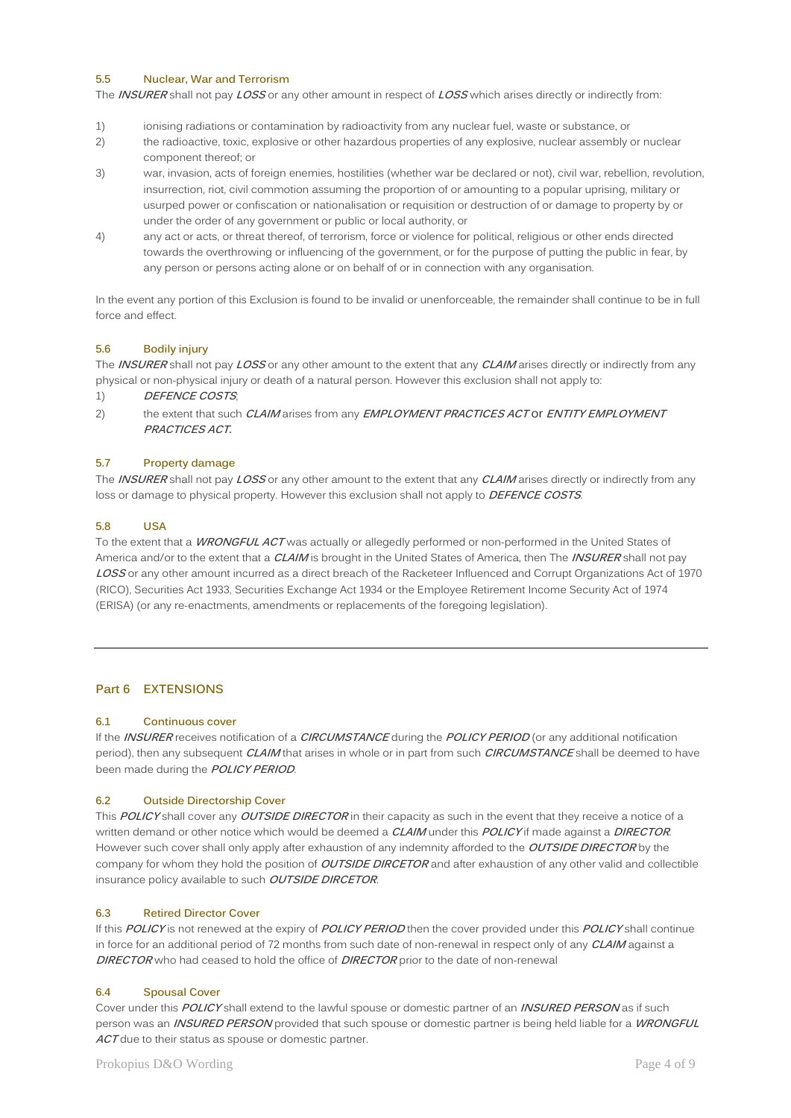### **5.5 Nuclear, War and Terrorism**

The **INSURER** shall not pay **LOSS** or any other amount in respect of **LOSS** which arises directly or indirectly from:

- 1) ionising radiations or contamination by radioactivity from any nuclear fuel, waste or substance, or
- 2) the radioactive, toxic, explosive or other hazardous properties of any explosive, nuclear assembly or nuclear component thereof; or
- 3) war, invasion, acts of foreign enemies, hostilities (whether war be declared or not), civil war, rebellion, revolution, insurrection, riot, civil commotion assuming the proportion of or amounting to a popular uprising, military or usurped power or confiscation or nationalisation or requisition or destruction of or damage to property by or under the order of any government or public or local authority, or
- 4) any act or acts, or threat thereof, of terrorism, force or violence for political, religious or other ends directed towards the overthrowing or influencing of the government, or for the purpose of putting the public in fear, by any person or persons acting alone or on behalf of or in connection with any organisation.

In the event any portion of this Exclusion is found to be invalid or unenforceable, the remainder shall continue to be in full force and effect.

### **5.6 Bodily injury**

The **INSURER** shall not pay **LOSS** or any other amount to the extent that any **CLAIM** arises directly or indirectly from any physical or non-physical injury or death of a natural person. However this exclusion shall not apply to:

- 1) **DEFENCE COSTS**;
- 2) the extent that such **CLAIM** arises from any **EMPLOYMENT PRACTICES ACT** or **ENTITY EMPLOYMENT PRACTICES ACT.**

#### **5.7 Property damage**

The **INSURER** shall not pay **LOSS** or any other amount to the extent that any **CLAIM** arises directly or indirectly from any loss or damage to physical property. However this exclusion shall not apply to **DEFENCE COSTS**.

### **5.8 USA**

To the extent that a **WRONGFUL ACT** was actually or allegedly performed or non-performed in the United States of America and/or to the extent that a **CLAIM** is brought in the United States of America, then The **INSURER** shall not pay **LOSS** or any other amount incurred as a direct breach of the Racketeer Influenced and Corrupt Organizations Act of 1970 (RICO), Securities Act 1933, Securities Exchange Act 1934 or the Employee Retirement Income Security Act of 1974 (ERISA) (or any re-enactments, amendments or replacements of the foregoing legislation).

## **Part 6 EXTENSIONS**

#### **6.1 Continuous cover**

If the **INSURER** receives notification of a **CIRCUMSTANCE** during the **POLICY PERIOD** (or any additional notification period), then any subsequent **CLAIM** that arises in whole or in part from such **CIRCUMSTANCE** shall be deemed to have been made during the **POLICY PERIOD**.

#### **6.2 Outside Directorship Cover**

This **POLICY** shall cover any **OUTSIDE DIRECTOR** in their capacity as such in the event that they receive a notice of a written demand or other notice which would be deemed a **CLAIM** under this **POLICY** if made against a **DIRECTOR**. However such cover shall only apply after exhaustion of any indemnity afforded to the **OUTSIDE DIRECTOR** by the company for whom they hold the position of **OUTSIDE DIRCETOR** and after exhaustion of any other valid and collectible insurance policy available to such **OUTSIDE DIRCETOR**.

#### **6.3 Retired Director Cover**

If this **POLICY** is not renewed at the expiry of **POLICY PERIOD** then the cover provided under this **POLICY** shall continue in force for an additional period of 72 months from such date of non-renewal in respect only of any **CLAIM** against a **DIRECTOR** who had ceased to hold the office of **DIRECTOR** prior to the date of non-renewal

#### **6.4 Spousal Cover**

Cover under this **POLICY** shall extend to the lawful spouse or domestic partner of an **INSURED PERSON** as if such person was an **INSURED PERSON** provided that such spouse or domestic partner is being held liable for a **WRONGFUL**  ACT due to their status as spouse or domestic partner.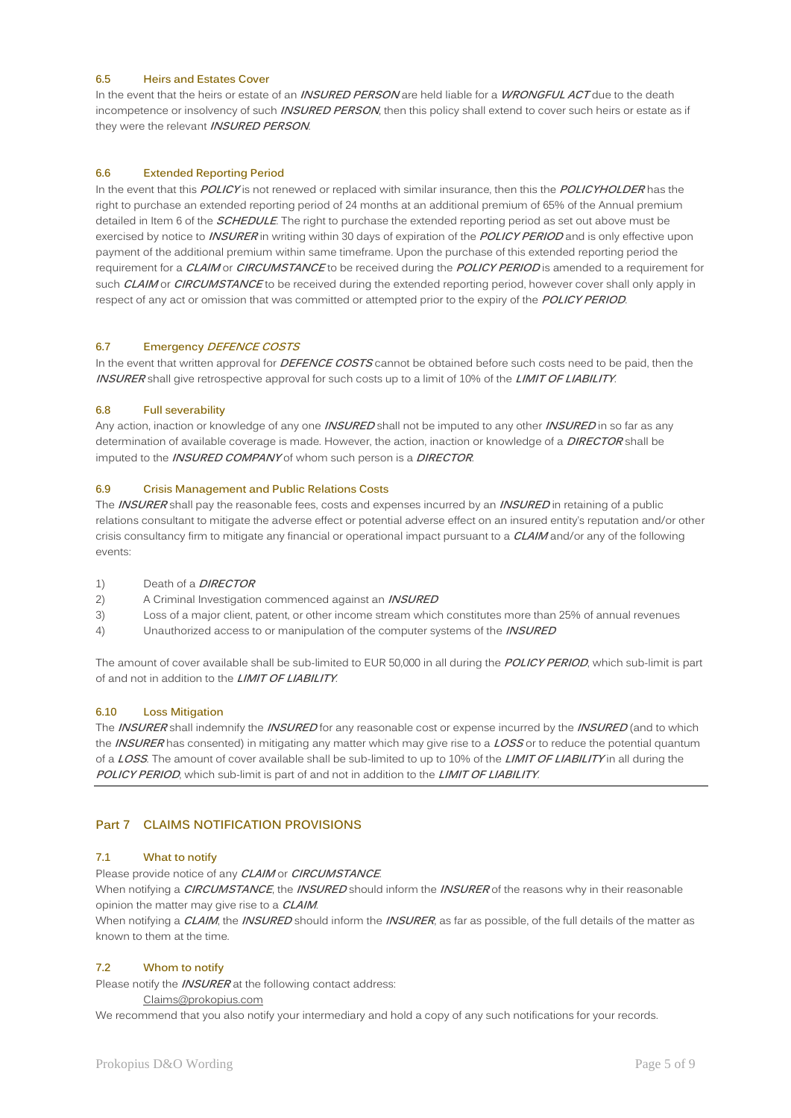### **6.5 Heirs and Estates Cover**

In the event that the heirs or estate of an **INSURED PERSON** are held liable for a **WRONGFUL ACT** due to the death incompetence or insolvency of such **INSURED PERSON**, then this policy shall extend to cover such heirs or estate as if they were the relevant **INSURED PERSON**.

## **6.6 Extended Reporting Period**

In the event that this **POLICY** is not renewed or replaced with similar insurance, then this the **POLICYHOLDER** has the right to purchase an extended reporting period of 24 months at an additional premium of 65% of the Annual premium detailed in Item 6 of the **SCHEDULE**. The right to purchase the extended reporting period as set out above must be exercised by notice to **INSURER** in writing within 30 days of expiration of the **POLICY PERIOD** and is only effective upon payment of the additional premium within same timeframe. Upon the purchase of this extended reporting period the requirement for a **CLAIM** or **CIRCUMSTANCE** to be received during the **POLICY PERIOD** is amended to a requirement for such **CLAIM** or **CIRCUMSTANCE** to be received during the extended reporting period, however cover shall only apply in respect of any act or omission that was committed or attempted prior to the expiry of the **POLICY PERIOD**.

### **6.7 Emergency DEFENCE COSTS**

In the event that written approval for **DEFENCE COSTS** cannot be obtained before such costs need to be paid, then the **INSURER** shall give retrospective approval for such costs up to a limit of 10% of the **LIMIT OF LIABILITY**.

### **6.8 Full severability**

Any action, inaction or knowledge of any one **INSURED** shall not be imputed to any other **INSURED** in so far as any determination of available coverage is made. However, the action, inaction or knowledge of a **DIRECTOR** shall be imputed to the **INSURED COMPANY** of whom such person is a **DIRECTOR**.

### **6.9 Crisis Management and Public Relations Costs**

The **INSURER** shall pay the reasonable fees, costs and expenses incurred by an **INSURED** in retaining of a public relations consultant to mitigate the adverse effect or potential adverse effect on an insured entity's reputation and/or other crisis consultancy firm to mitigate any financial or operational impact pursuant to a **CLAIM** and/or any of the following events:

- 1) Death of a **DIRECTOR**
- 2) A Criminal Investigation commenced against an **INSURED**
- 3) Loss of a major client, patent, or other income stream which constitutes more than 25% of annual revenues
- 4) Unauthorized access to or manipulation of the computer systems of the **INSURED**

The amount of cover available shall be sub-limited to EUR 50,000 in all during the **POLICY PERIOD**, which sub-limit is part of and not in addition to the **LIMIT OF LIABILITY**.

## **6.10 Loss Mitigation**

The **INSURER** shall indemnify the **INSURED** for any reasonable cost or expense incurred by the **INSURED** (and to which the **INSURER** has consented) in mitigating any matter which may give rise to a **LOSS** or to reduce the potential quantum of a **LOSS**. The amount of cover available shall be sub-limited to up to 10% of the **LIMIT OF LIABILITY** in all during the **POLICY PERIOD**, which sub-limit is part of and not in addition to the **LIMIT OF LIABILITY**.

## **Part 7 CLAIMS NOTIFICATION PROVISIONS**

## **7.1 What to notify**

Please provide notice of any **CLAIM** or **CIRCUMSTANCE**.

When notifying a **CIRCUMSTANCE**, the **INSURED** should inform the **INSURER** of the reasons why in their reasonable opinion the matter may give rise to a **CLAIM**.

When notifying a **CLAIM**, the **INSURED** should inform the **INSURER**, as far as possible, of the full details of the matter as known to them at the time.

### **7.2 Whom to notify**

Please notify the **INSURER** at the following contact address:

[Claims@prokopius.com](mailto:Claims@prokopius.com)

We recommend that you also notify your intermediary and hold a copy of any such notifications for your records.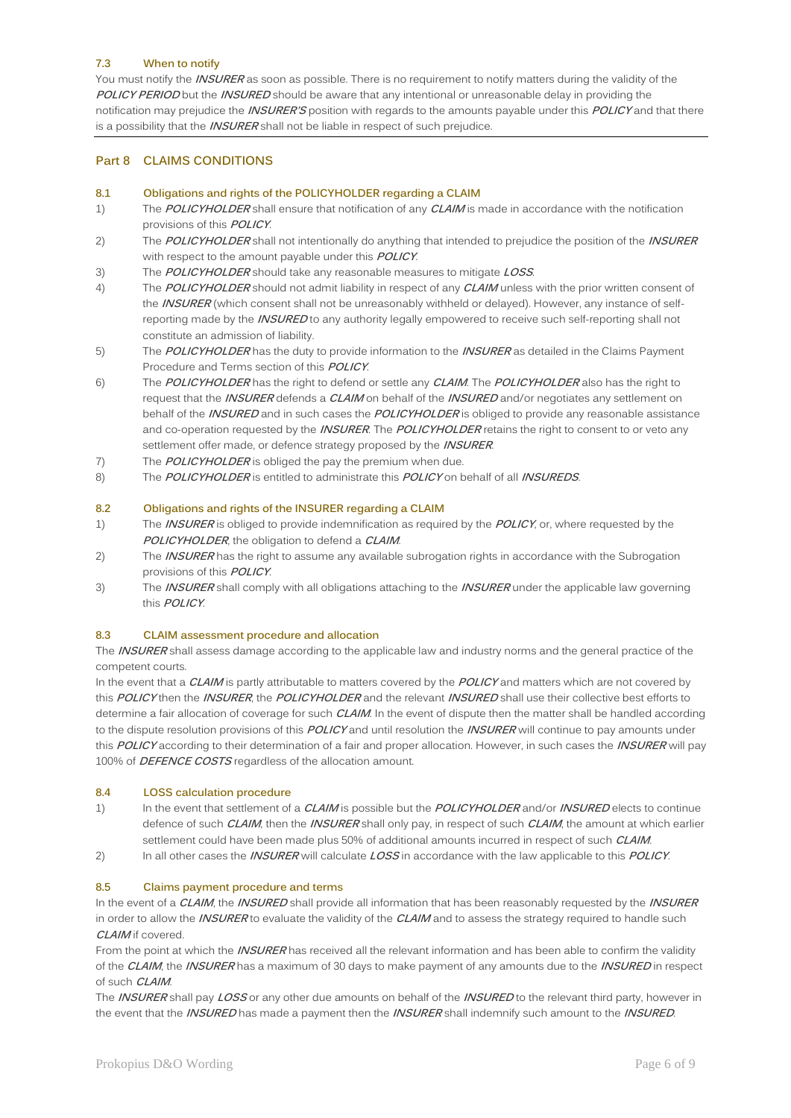#### **7.3 When to notify**

You must notify the **INSURER** as soon as possible. There is no requirement to notify matters during the validity of the **POLICY PERIOD** but the **INSURED** should be aware that any intentional or unreasonable delay in providing the notification may prejudice the **INSURER'S** position with regards to the amounts payable under this **POLICY** and that there is a possibility that the **INSURER** shall not be liable in respect of such prejudice.

## **Part 8 CLAIMS CONDITIONS**

#### **8.1 Obligations and rights of the POLICYHOLDER regarding a CLAIM**

- 1) The **POLICYHOLDER** shall ensure that notification of any **CLAIM** is made in accordance with the notification provisions of this **POLICY**.
- 2) The **POLICYHOLDER** shall not intentionally do anything that intended to prejudice the position of the **INSURER** with respect to the amount payable under this **POLICY**.
- 3) The **POLICYHOLDER** should take any reasonable measures to mitigate **LOSS**.
- 4) The **POLICYHOLDER** should not admit liability in respect of any **CLAIM** unless with the prior written consent of the **INSURER** (which consent shall not be unreasonably withheld or delayed). However, any instance of selfreporting made by the **INSURED** to any authority legally empowered to receive such self-reporting shall not constitute an admission of liability.
- 5) The **POLICYHOLDER** has the duty to provide information to the **INSURER** as detailed in the Claims Payment Procedure and Terms section of this **POLICY**.
- 6) The **POLICYHOLDER** has the right to defend or settle any **CLAIM**. The **POLICYHOLDER** also has the right to request that the **INSURER** defends a **CLAIM** on behalf of the **INSURED** and/or negotiates any settlement on behalf of the **INSURED** and in such cases the **POLICYHOLDER** is obliged to provide any reasonable assistance and co-operation requested by the **INSURER**. The **POLICYHOLDER** retains the right to consent to or veto any settlement offer made, or defence strategy proposed by the **INSURER**.
- 7) The **POLICYHOLDER** is obliged the pay the premium when due.
- 8) The **POLICYHOLDER** is entitled to administrate this **POLICY** on behalf of all **INSUREDS**.

#### **8.2 Obligations and rights of the INSURER regarding a CLAIM**

- 1) The **INSURER** is obliged to provide indemnification as required by the **POLICY**, or, where requested by the **POLICYHOLDER**, the obligation to defend a **CLAIM**.
- 2) The **INSURER** has the right to assume any available subrogation rights in accordance with the Subrogation provisions of this **POLICY**.
- 3) The **INSURER** shall comply with all obligations attaching to the **INSURER** under the applicable law governing this **POLICY**.

#### **8.3 CLAIM assessment procedure and allocation**

The **INSURER** shall assess damage according to the applicable law and industry norms and the general practice of the competent courts.

In the event that a **CLAIM** is partly attributable to matters covered by the **POLICY** and matters which are not covered by this **POLICY** then the **INSURER**, the **POLICYHOLDER** and the relevant **INSURED** shall use their collective best efforts to determine a fair allocation of coverage for such **CLAIM**. In the event of dispute then the matter shall be handled according to the dispute resolution provisions of this **POLICY** and until resolution the **INSURER** will continue to pay amounts under this **POLICY** according to their determination of a fair and proper allocation. However, in such cases the **INSURER** will pay 100% of **DEFENCE COSTS** regardless of the allocation amount.

#### **8.4 LOSS calculation procedure**

- 1) In the event that settlement of a **CLAIM** is possible but the **POLICYHOLDER** and/or **INSURED** elects to continue defence of such **CLAIM**, then the **INSURER** shall only pay, in respect of such **CLAIM**, the amount at which earlier settlement could have been made plus 50% of additional amounts incurred in respect of such **CLAIM**.
- 2) In all other cases the **INSURER** will calculate **LOSS** in accordance with the law applicable to this **POLICY**.

#### **8.5 Claims payment procedure and terms**

In the event of a **CLAIM**, the **INSURED** shall provide all information that has been reasonably requested by the **INSURER** in order to allow the **INSURER** to evaluate the validity of the **CLAIM** and to assess the strategy required to handle such **CLAIM** if covered.

From the point at which the **INSURER** has received all the relevant information and has been able to confirm the validity of the **CLAIM**, the **INSURER** has a maximum of 30 days to make payment of any amounts due to the **INSURED** in respect of such **CLAIM**.

The **INSURER** shall pay **LOSS** or any other due amounts on behalf of the **INSURED** to the relevant third party, however in the event that the **INSURED** has made a payment then the **INSURER** shall indemnify such amount to the **INSURED**.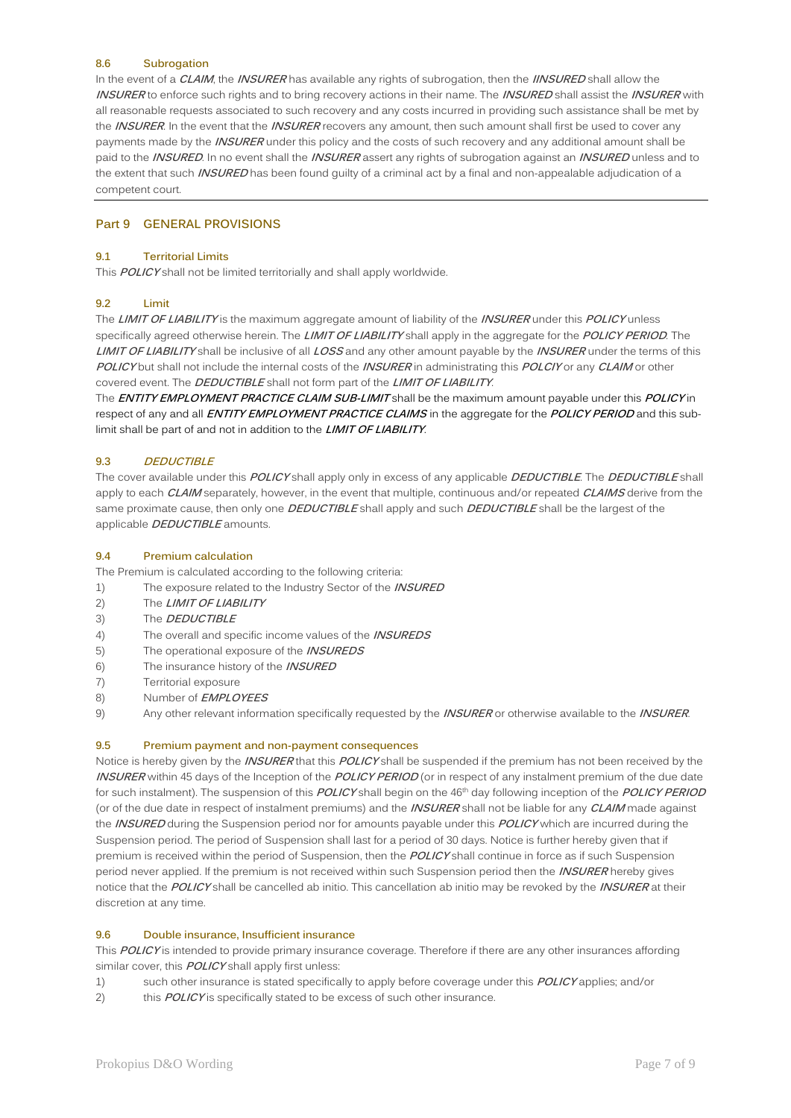#### **8.6 Subrogation**

In the event of a **CLAIM**, the **INSURER** has available any rights of subrogation, then the **IINSURED** shall allow the **INSURER** to enforce such rights and to bring recovery actions in their name. The **INSURED** shall assist the **INSURER** with all reasonable requests associated to such recovery and any costs incurred in providing such assistance shall be met by the **INSURER**. In the event that the **INSURER** recovers any amount, then such amount shall first be used to cover any payments made by the **INSURER** under this policy and the costs of such recovery and any additional amount shall be paid to the **INSURED**. In no event shall the **INSURER** assert any rights of subrogation against an **INSURED** unless and to the extent that such **INSURED** has been found guilty of a criminal act by a final and non-appealable adjudication of a competent court.

#### **Part 9 GENERAL PROVISIONS**

#### **9.1 Territorial Limits**

This **POLICY** shall not be limited territorially and shall apply worldwide.

#### **9.2 Limit**

The **LIMIT OF LIABILITY** is the maximum aggregate amount of liability of the **INSURER** under this **POLICY** unless specifically agreed otherwise herein. The **LIMIT OF LIABILITY** shall apply in the aggregate for the **POLICY PERIOD**. The **LIMIT OF LIABILITY** shall be inclusive of all **LOSS** and any other amount payable by the **INSURER** under the terms of this **POLICY** but shall not include the internal costs of the **INSURER** in administrating this **POLCIY** or any **CLAIM** or other covered event. The **DEDUCTIBLE** shall not form part of the **LIMIT OF LIABILITY**.

The **ENTITY EMPLOYMENT PRACTICE CLAIM SUB-LIMIT** shall be the maximum amount payable under this **POLICY** in respect of any and all **ENTITY EMPLOYMENT PRACTICE CLAIMS** in the aggregate for the **POLICY PERIOD** and this sublimit shall be part of and not in addition to the **LIMIT OF LIABILITY**.

### **9.3 DEDUCTIBLE**

The cover available under this **POLICY** shall apply only in excess of any applicable **DEDUCTIBLE**. The **DEDUCTIBLE** shall apply to each **CLAIM** separately, however, in the event that multiple, continuous and/or repeated **CLAIMS** derive from the same proximate cause, then only one **DEDUCTIBLE** shall apply and such **DEDUCTIBLE** shall be the largest of the applicable **DEDUCTIBLE** amounts.

#### **9.4 Premium calculation**

The Premium is calculated according to the following criteria:

- 1) The exposure related to the Industry Sector of the **INSURED**
- 2) The **LIMIT OF LIABILITY**
- 3) The **DEDUCTIBLE**
- 4) The overall and specific income values of the **INSUREDS**
- 5) The operational exposure of the **INSUREDS**
- 6) The insurance history of the **INSURED**
- 7) Territorial exposure
- 8) Number of **EMPLOYEES**
- 9) Any other relevant information specifically requested by the **INSURER** or otherwise available to the **INSURER**.

#### **9.5 Premium payment and non-payment consequences**

Notice is hereby given by the **INSURER** that this **POLICY** shall be suspended if the premium has not been received by the **INSURER** within 45 days of the Inception of the **POLICY PERIOD** (or in respect of any instalment premium of the due date for such instalment). The suspension of this **POLICY** shall begin on the 46th day following inception of the **POLICY PERIOD** (or of the due date in respect of instalment premiums) and the **INSURER** shall not be liable for any **CLAIM** made against the **INSURED** during the Suspension period nor for amounts payable under this **POLICY** which are incurred during the Suspension period. The period of Suspension shall last for a period of 30 days. Notice is further hereby given that if premium is received within the period of Suspension, then the **POLICY** shall continue in force as if such Suspension period never applied. If the premium is not received within such Suspension period then the **INSURER** hereby gives notice that the **POLICY** shall be cancelled ab initio. This cancellation ab initio may be revoked by the **INSURER** at their discretion at any time.

#### **9.6 Double insurance, Insufficient insurance**

This **POLICY** is intended to provide primary insurance coverage. Therefore if there are any other insurances affording similar cover, this **POLICY** shall apply first unless:

- 1) such other insurance is stated specifically to apply before coverage under this **POLICY** applies; and/or
- 2) this **POLICY** is specifically stated to be excess of such other insurance.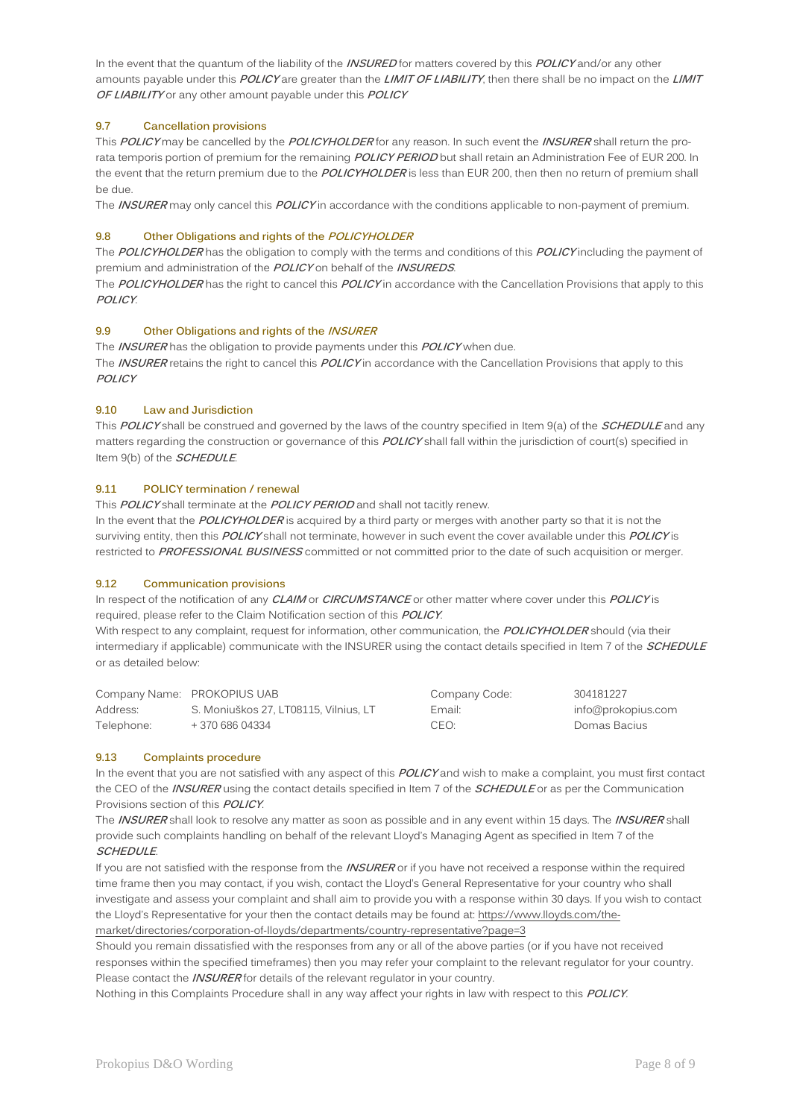In the event that the quantum of the liability of the **INSURED** for matters covered by this **POLICY** and/or any other amounts payable under this **POLICY** are greater than the **LIMIT OF LIABILITY**, then there shall be no impact on the **LIMIT OF LIABILITY** or any other amount payable under this **POLICY**

## **9.7 Cancellation provisions**

This **POLICY** may be cancelled by the **POLICYHOLDER** for any reason. In such event the **INSURER** shall return the prorata temporis portion of premium for the remaining **POLICY PERIOD** but shall retain an Administration Fee of EUR 200. In the event that the return premium due to the **POLICYHOLDER** is less than EUR 200, then then no return of premium shall be due.

The **INSURER** may only cancel this **POLICY** in accordance with the conditions applicable to non-payment of premium.

### **9.8 Other Obligations and rights of the POLICYHOLDER**

The **POLICYHOLDER** has the obligation to comply with the terms and conditions of this **POLICY** including the payment of premium and administration of the **POLICY** on behalf of the **INSUREDS**.

The **POLICYHOLDER** has the right to cancel this **POLICY** in accordance with the Cancellation Provisions that apply to this **POLICY**.

### **9.9 Other Obligations and rights of the INSURER**

The **INSURER** has the obligation to provide payments under this **POLICY** when due. The **INSURER** retains the right to cancel this **POLICY** in accordance with the Cancellation Provisions that apply to this **POLICY**

### **9.10 Law and Jurisdiction**

This **POLICY** shall be construed and governed by the laws of the country specified in Item 9(a) of the **SCHEDULE** and any matters regarding the construction or governance of this **POLICY** shall fall within the jurisdiction of court(s) specified in Item 9(b) of the **SCHEDULE**.

### **9.11 POLICY termination / renewal**

This **POLICY** shall terminate at the **POLICY PERIOD** and shall not tacitly renew.

In the event that the **POLICYHOLDER** is acquired by a third party or merges with another party so that it is not the surviving entity, then this **POLICY** shall not terminate, however in such event the cover available under this **POLICY** is restricted to **PROFESSIONAL BUSINESS** committed or not committed prior to the date of such acquisition or merger.

## **9.12 Communication provisions**

In respect of the notification of any **CLAIM** or **CIRCUMSTANCE** or other matter where cover under this **POLICY** is required, please refer to the Claim Notification section of this **POLICY**.

With respect to any complaint, request for information, other communication, the **POLICYHOLDER** should (via their intermediary if applicable) communicate with the INSURER using the contact details specified in Item 7 of the **SCHEDULE** or as detailed below:

|            | Company Name: PROKOPIUS UAB           | Company Code:    | 304181227          |
|------------|---------------------------------------|------------------|--------------------|
| Address:   | S. Moniuškos 27, LT08115, Vilnius, LT | Email:           | info@prokopius.com |
| Telephone: | + 370 686 04334                       | CEO <sup>.</sup> | Domas Bacius       |

#### **9.13 Complaints procedure**

In the event that you are not satisfied with any aspect of this **POLICY** and wish to make a complaint, you must first contact the CEO of the **INSURER** using the contact details specified in Item 7 of the **SCHEDULE** or as per the Communication Provisions section of this **POLICY**.

The **INSURER** shall look to resolve any matter as soon as possible and in any event within 15 days. The **INSURER** shall provide such complaints handling on behalf of the relevant Lloyd's Managing Agent as specified in Item 7 of the **SCHEDULE**.

If you are not satisfied with the response from the **INSURER** or if you have not received a response within the required time frame then you may contact, if you wish, contact the Lloyd's General Representative for your country who shall investigate and assess your complaint and shall aim to provide you with a response within 30 days. If you wish to contact the Lloyd's Representative for your then the contact details may be found at[: https://www.lloyds.com/the](https://www.lloyds.com/the-market/directories/corporation-of-lloyds/departments/country-representative?page=3)[market/directories/corporation-of-lloyds/departments/country-representative?page=3](https://www.lloyds.com/the-market/directories/corporation-of-lloyds/departments/country-representative?page=3)

Should you remain dissatisfied with the responses from any or all of the above parties (or if you have not received responses within the specified timeframes) then you may refer your complaint to the relevant regulator for your country. Please contact the **INSURER** for details of the relevant regulator in your country.

Nothing in this Complaints Procedure shall in any way affect your rights in law with respect to this **POLICY**.